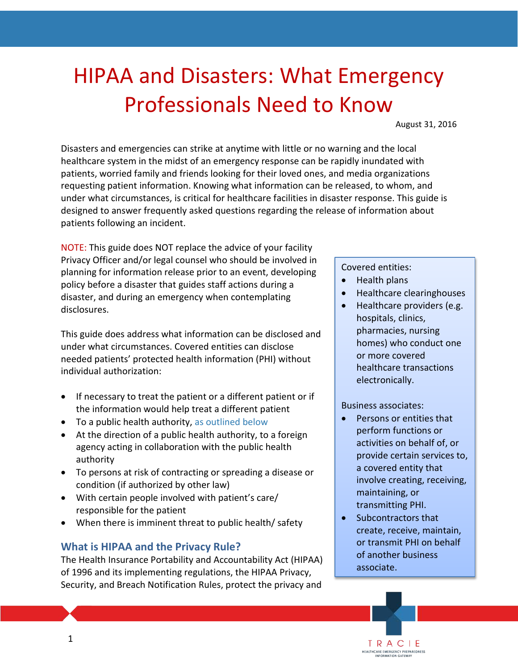# HIPAA and Disasters: What Emergency Professionals Need to Know

August 31, 2016

Disasters and emergencies can strike at anytime with little or no warning and the local healthcare system in the midst of an emergency response can be rapidly inundated with patients, worried family and friends looking for their loved ones, and media organizations requesting patient information. Knowing what information can be released, to whom, and under what circumstances, is critical for healthcare facilities in disaster response. This guide is designed to answer frequently asked questions regarding the release of information about patients following an incident.

NOTE: This guide does NOT replace the advice of your facility Privacy Officer and/or legal counsel who should be involved in planning for information release prior to an event, developing policy before a disaster that guides staff actions during a disaster, and during an emergency when contemplating disclosures.

This guide does address what information can be disclosed and under what circumstances. Covered entities can disclose needed patients' protected health information (PHI) without individual authorization:

- If necessary to treat the patient or a different patient or if the information would help treat a different patient
- To a public health authority, [as outlined below](#page-1-0)
- At the direction of a public health authority, to a foreign agency acting in collaboration with the public health authority
- To persons at risk of contracting or spreading a disease or condition (if authorized by other law)
- With certain people involved with patient's care/ responsible for the patient
- When there is imminent threat to public health/ safety

#### **What is HIPAA and the Privacy Rule?**

The Health Insurance Portability and Accountability Act (HIPAA) of 1996 and its implementing regulations, the HIPAA Privacy, Security, and Breach Notification Rules, protect the privacy and

#### Covered entities:

- Health plans
- Healthcare clearinghouses
- Healthcare providers (e.g. hospitals, clinics, pharmacies, nursing homes) who conduct one or more covered healthcare transactions electronically.

#### Business associates:

- Persons or entities that perform functions or activities on behalf of, or provide certain services to, a covered entity that involve creating, receiving, maintaining, or transmitting PHI.
- Subcontractors that create, receive, maintain, or transmit PHI on behalf of another business associate.

TRAC HEALTHCARE EMERGENCY PREPAREDNESS<br>INFORMATION GATEWAY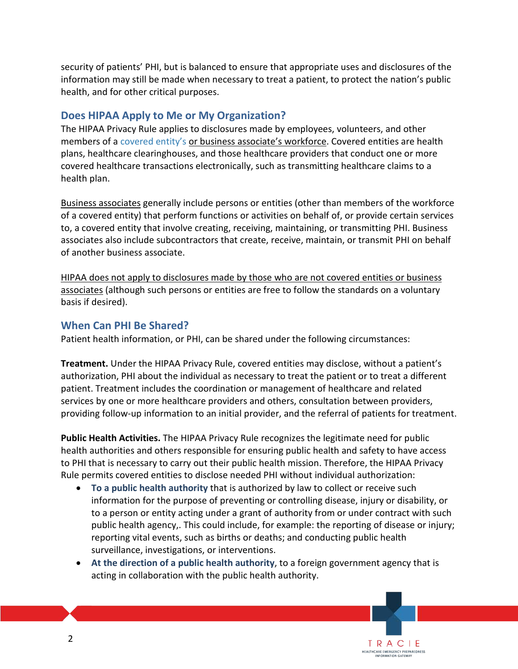security of patients' PHI, but is balanced to ensure that appropriate uses and disclosures of the information may still be made when necessary to treat a patient, to protect the nation's public health, and for other critical purposes.

#### **Does HIPAA Apply to Me or My Organization?**

The HIPAA Privacy Rule applies to disclosures made by employees, volunteers, and other members of a [covered entity's](https://www.cms.gov/regulations-and-guidance/hipaa-administrative-simplification/hipaageninfo/areyouacoveredentity.html) or business associate's workforce. Covered entities are health plans, healthcare clearinghouses, and those healthcare providers that conduct one or more covered healthcare transactions electronically, such as transmitting healthcare claims to a health plan.

Business associates generally include persons or entities (other than members of the workforce of a covered entity) that perform functions or activities on behalf of, or provide certain services to, a covered entity that involve creating, receiving, maintaining, or transmitting PHI. Business associates also include subcontractors that create, receive, maintain, or transmit PHI on behalf of another business associate.

HIPAA does not apply to disclosures made by those who are not covered entities or business associates (although such persons or entities are free to follow the standards on a voluntary basis if desired).

#### <span id="page-1-0"></span>**When Can PHI Be Shared?**

Patient health information, or PHI, can be shared under the following circumstances:

**Treatment.** Under the HIPAA Privacy Rule, covered entities may disclose, without a patient's authorization, PHI about the individual as necessary to treat the patient or to treat a different patient. Treatment includes the coordination or management of healthcare and related services by one or more healthcare providers and others, consultation between providers, providing follow-up information to an initial provider, and the referral of patients for treatment.

**Public Health Activities.** The HIPAA Privacy Rule recognizes the legitimate need for public health authorities and others responsible for ensuring public health and safety to have access to PHI that is necessary to carry out their public health mission. Therefore, the HIPAA Privacy Rule permits covered entities to disclose needed PHI without individual authorization:

- **To a public health authority** that is authorized by law to collect or receive such information for the purpose of preventing or controlling disease, injury or disability, or to a person or entity acting under a grant of authority from or under contract with such public health agency,. This could include, for example: the reporting of disease or injury; reporting vital events, such as births or deaths; and conducting public health surveillance, investigations, or interventions.
- **At the direction of a public health authority**, to a foreign government agency that is acting in collaboration with the public health authority.

TRAC HEALTHCARE EMERGENCY PREPAREDNESS<br>INFORMATION GATEWAY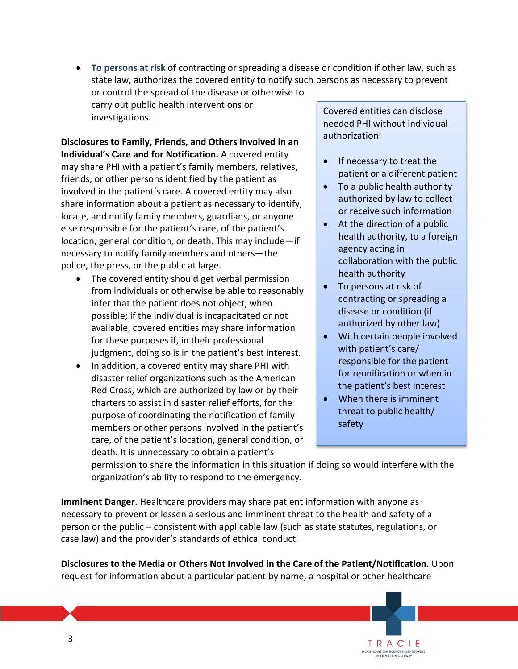• **To persons at risk** of contracting or spreading a disease or condition if other law, such as state law, authorizes the covered entity to notify such persons as necessary to prevent or control the spread of the disease or otherwise to carry out public health interventions or investigations. Covered entities can disclose

**Disclosures to Family, Friends, and Others Involved in an Individual's Care and for Notification.** A covered entity may share PHI with a patient's family members, relatives, friends, or other persons identified by the patient as involved in the patient's care. A covered entity may also share information about a patient as necessary to identify, locate, and notify family members, guardians, or anyone else responsible for the patient's care, of the patient's location, general condition, or death. This may include—if necessary to notify family members and others—the police, the press, or the public at large.

- The covered entity should get verbal permission from individuals or otherwise be able to reasonably infer that the patient does not object, when possible; if the individual is incapacitated or not available, covered entities may share information for these purposes if, in their professional judgment, doing so is in the patient's best interest.
- In addition, a covered entity may share PHI with disaster relief organizations such as the American Red Cross, which are authorized by law or by their charters to assist in disaster relief efforts, for the purpose of coordinating the notification of family members or other persons involved in the patient's care, of the patient's location, general condition, or death. It is unnecessary to obtain a patient's

needed PHI without individual authorization:

- If necessary to treat the patient or a different patient
- To a public health authority authorized by law to collect or receive such information
- At the direction of a public health authority, to a foreign agency acting in collaboration with the public health authority
- To persons at risk of contracting or spreading a disease or condition (if authorized by other law)
- With certain people involved with patient's care/ responsible for the patient for reunification or when in the patient's best interest
- When there is imminent threat to public health/ safety

TRACIE HEALTHCARE EMERGENCY PREPAREDNESS<br>INFORMATION GATEWAY

permission to share the information in this situation if doing so would interfere with the organization's ability to respond to the emergency.

**Imminent Danger.** Healthcare providers may share patient information with anyone as necessary to prevent or lessen a serious and imminent threat to the health and safety of a person or the public – consistent with applicable law (such as state statutes, regulations, or case law) and the provider's standards of ethical conduct.

**Disclosures to the Media or Others Not Involved in the Care of the Patient/Notification.** Upon request for information about a particular patient by name, a hospital or other healthcare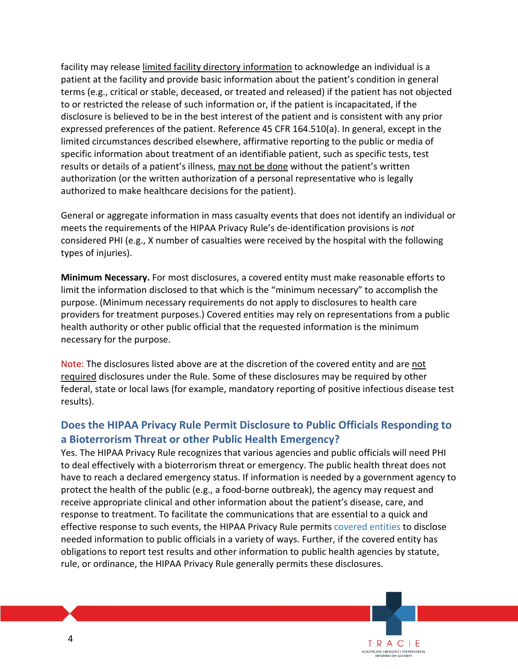facility may release limited facility directory information to acknowledge an individual is a patient at the facility and provide basic information about the patient's condition in general terms (e.g., critical or stable, deceased, or treated and released) if the patient has not objected to or restricted the release of such information or, if the patient is incapacitated, if the disclosure is believed to be in the best interest of the patient and is consistent with any prior expressed preferences of the patient. Reference 45 CFR 164.510(a). In general, except in the limited circumstances described elsewhere, affirmative reporting to the public or media of specific information about treatment of an identifiable patient, such as specific tests, test results or details of a patient's illness, may not be done without the patient's written authorization (or the written authorization of a personal representative who is legally authorized to make healthcare decisions for the patient).

General or aggregate information in mass casualty events that does not identify an individual or meets the requirements of the HIPAA Privacy Rule's de-identification provisions is *not*  considered PHI (e.g., X number of casualties were received by the hospital with the following types of injuries).

**Minimum Necessary.** For most disclosures, a covered entity must make reasonable efforts to limit the information disclosed to that which is the "minimum necessary" to accomplish the purpose. (Minimum necessary requirements do not apply to disclosures to health care providers for treatment purposes.) Covered entities may rely on representations from a public health authority or other public official that the requested information is the minimum necessary for the purpose.

Note: The disclosures listed above are at the discretion of the covered entity and are not required disclosures under the Rule. Some of these disclosures may be required by other federal, state or local laws (for example, mandatory reporting of positive infectious disease test results).

#### **Does the HIPAA Privacy Rule Permit Disclosure to Public Officials Responding to a Bioterrorism Threat or other Public Health Emergency?**

Yes. The HIPAA Privacy Rule recognizes that various agencies and public officials will need PHI to deal effectively with a bioterrorism threat or emergency. The public health threat does not have to reach a declared emergency status. If information is needed by a government agency to protect the health of the public (e.g., a food-borne outbreak), the agency may request and receive appropriate clinical and other information about the patient's disease, care, and response to treatment. To facilitate the communications that are essential to a quick and effective response to such events, the HIPAA Privacy Rule permits [covered entities](https://www.cms.gov/regulations-and-guidance/hipaa-administrative-simplification/hipaageninfo/areyouacoveredentity.html) to disclose needed information to public officials in a variety of ways. Further, if the covered entity has obligations to report test results and other information to public health agencies by statute, rule, or ordinance, the HIPAA Privacy Rule generally permits these disclosures.

> TRAC HEALTHCARE EMERGENCY PREPAREDNESS<br>INFORMATION GATEWAY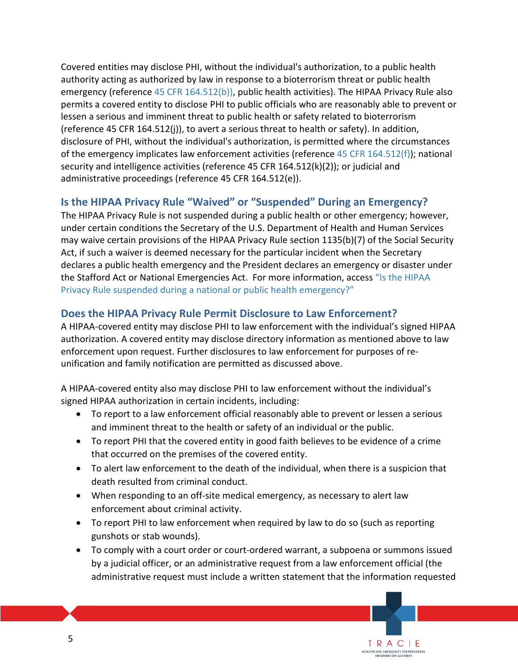Covered entities may disclose PHI, without the individual's authorization, to a public health authority acting as authorized by law in response to a bioterrorism threat or public health emergency (reference [45 CFR 164.512\(b\)\),](http://www.hhs.gov/hipaa/for-professionals/privacy/guidance/disclosures-public-health-activities/index.html) public health activities). The HIPAA Privacy Rule also permits a covered entity to disclose PHI to public officials who are reasonably able to prevent or lessen a serious and imminent threat to public health or safety related to bioterrorism (reference 45 CFR 164.512(j)), to avert a serious threat to health or safety). In addition, disclosure of PHI, without the individual's authorization, is permitted where the circumstances of the emergency implicates law enforcement activities (reference [45 CFR 164.512\(f\)\)](http://www.hhs.gov/hipaa/for-professionals/privacy/guidance/restrictions-on-government-access-to-health-information/index.html); national security and intelligence activities (reference 45 CFR 164.512(k)(2)); or judicial and administrative proceedings (reference 45 CFR 164.512(e)).

## **Is the HIPAA Privacy Rule "Waived" or "Suspended" During an Emergency?**

The HIPAA Privacy Rule is not suspended during a public health or other emergency; however, under certain conditions the Secretary of the U.S. Department of Health and Human Services may waive certain provisions of the HIPAA Privacy Rule section 1135(b)(7) of the Social Security Act, if such a waiver is deemed necessary for the particular incident when the Secretary declares a public health emergency and the President declares an emergency or disaster under the Stafford Act or National Emergencies Act. For more information, acces[s "Is the HIPAA](http://www.hhs.gov/hipaa/for-professionals/faq/1068/is-hipaa-suspended-during-a-national-or-public-health-emergency/index.html)  [Privacy Rule suspended during a national or public health emergency?"](http://www.hhs.gov/hipaa/for-professionals/faq/1068/is-hipaa-suspended-during-a-national-or-public-health-emergency/index.html)

## **Does the HIPAA Privacy Rule Permit Disclosure to Law Enforcement?**

A HIPAA-covered entity may disclose PHI to law enforcement with the individual's signed HIPAA authorization. A covered entity may disclose directory information as mentioned above to law enforcement upon request. Further disclosures to law enforcement for purposes of reunification and family notification are permitted as discussed above.

A HIPAA-covered entity also may disclose PHI to law enforcement without the individual's signed HIPAA authorization in certain incidents, including:

- To report to a law enforcement official reasonably able to prevent or lessen a serious and imminent threat to the health or safety of an individual or the public.
- To report PHI that the covered entity in good faith believes to be evidence of a crime that occurred on the premises of the covered entity.
- To alert law enforcement to the death of the individual, when there is a suspicion that death resulted from criminal conduct.
- When responding to an off-site medical emergency, as necessary to alert law enforcement about criminal activity.
- To report PHI to law enforcement when required by law to do so (such as reporting gunshots or stab wounds).
- To comply with a court order or court-ordered warrant, a subpoena or summons issued by a judicial officer, or an administrative request from a law enforcement official (the administrative request must include a written statement that the information requested

TRACIE HEALTHCARE EMERGENCY PREPAREDNESS<br>INFORMATION GATEWAY